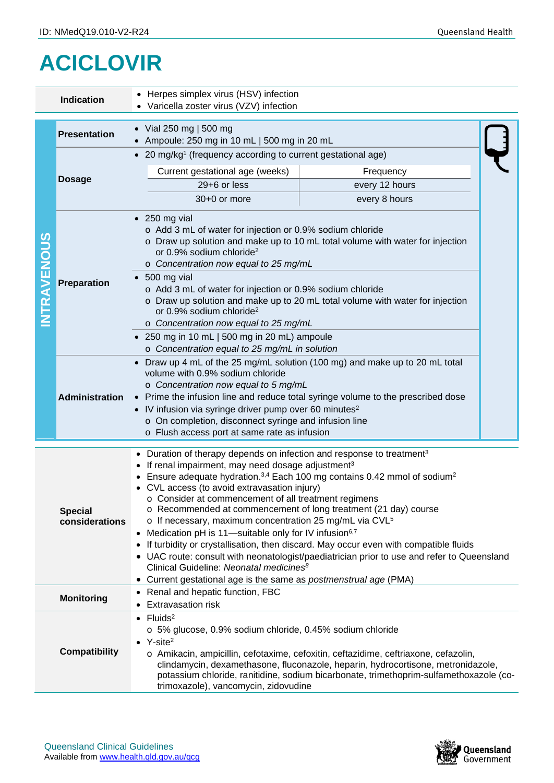## **ACICLOVIR**

|                   | <b>Indication</b>                                                                                                                                                                                                                                                                                                                                                                                                                                                                                                                                                                                                                                                                                                                                                                                                                                                                                                           | • Herpes simplex virus (HSV) infection<br>• Varicella zoster virus (VZV) infection                                                                                                                                                                                                                                                                                                                                                                                                                                                                                   |                |  |  |  |  |
|-------------------|-----------------------------------------------------------------------------------------------------------------------------------------------------------------------------------------------------------------------------------------------------------------------------------------------------------------------------------------------------------------------------------------------------------------------------------------------------------------------------------------------------------------------------------------------------------------------------------------------------------------------------------------------------------------------------------------------------------------------------------------------------------------------------------------------------------------------------------------------------------------------------------------------------------------------------|----------------------------------------------------------------------------------------------------------------------------------------------------------------------------------------------------------------------------------------------------------------------------------------------------------------------------------------------------------------------------------------------------------------------------------------------------------------------------------------------------------------------------------------------------------------------|----------------|--|--|--|--|
|                   | <b>Presentation</b>                                                                                                                                                                                                                                                                                                                                                                                                                                                                                                                                                                                                                                                                                                                                                                                                                                                                                                         | • Vial 250 mg   500 mg<br>Ampoule: 250 mg in 10 mL   500 mg in 20 mL                                                                                                                                                                                                                                                                                                                                                                                                                                                                                                 |                |  |  |  |  |
| <b>NTRAVENOUS</b> | <b>Dosage</b>                                                                                                                                                                                                                                                                                                                                                                                                                                                                                                                                                                                                                                                                                                                                                                                                                                                                                                               | • 20 mg/kg <sup>1</sup> (frequency according to current gestational age)                                                                                                                                                                                                                                                                                                                                                                                                                                                                                             |                |  |  |  |  |
|                   |                                                                                                                                                                                                                                                                                                                                                                                                                                                                                                                                                                                                                                                                                                                                                                                                                                                                                                                             | Current gestational age (weeks)                                                                                                                                                                                                                                                                                                                                                                                                                                                                                                                                      | Frequency      |  |  |  |  |
|                   |                                                                                                                                                                                                                                                                                                                                                                                                                                                                                                                                                                                                                                                                                                                                                                                                                                                                                                                             | 29+6 or less                                                                                                                                                                                                                                                                                                                                                                                                                                                                                                                                                         | every 12 hours |  |  |  |  |
|                   |                                                                                                                                                                                                                                                                                                                                                                                                                                                                                                                                                                                                                                                                                                                                                                                                                                                                                                                             | 30+0 or more                                                                                                                                                                                                                                                                                                                                                                                                                                                                                                                                                         | every 8 hours  |  |  |  |  |
|                   | Preparation                                                                                                                                                                                                                                                                                                                                                                                                                                                                                                                                                                                                                                                                                                                                                                                                                                                                                                                 | $\bullet$ 250 mg vial<br>○ Add 3 mL of water for injection or 0.9% sodium chloride<br>o Draw up solution and make up to 10 mL total volume with water for injection<br>or 0.9% sodium chloride <sup>2</sup><br>o Concentration now equal to 25 mg/mL<br>$\bullet$ 500 mg vial<br>o Add 3 mL of water for injection or 0.9% sodium chloride<br>o Draw up solution and make up to 20 mL total volume with water for injection<br>or 0.9% sodium chloride <sup>2</sup><br>o Concentration now equal to 25 mg/mL<br>$\bullet$ 250 mg in 10 mL   500 mg in 20 mL) ampoule |                |  |  |  |  |
|                   | <b>Administration</b>                                                                                                                                                                                                                                                                                                                                                                                                                                                                                                                                                                                                                                                                                                                                                                                                                                                                                                       | o Concentration equal to 25 mg/mL in solution<br>Draw up 4 mL of the 25 mg/mL solution (100 mg) and make up to 20 mL total<br>volume with 0.9% sodium chloride<br>o Concentration now equal to 5 mg/mL<br>Prime the infusion line and reduce total syringe volume to the prescribed dose<br>$\bullet$<br>• IV infusion via syringe driver pump over 60 minutes <sup>2</sup><br>o On completion, disconnect syringe and infusion line<br>o Flush access port at same rate as infusion                                                                                 |                |  |  |  |  |
|                   | • Duration of therapy depends on infection and response to treatment <sup>3</sup><br>• If renal impairment, may need dosage adjustment <sup>3</sup><br>Ensure adequate hydration. $3,4$ Each 100 mg contains 0.42 mmol of sodium <sup>2</sup><br>CVL access (to avoid extravasation injury)<br>o Consider at commencement of all treatment regimens<br>○ Recommended at commencement of long treatment (21 day) course<br><b>Special</b><br>o If necessary, maximum concentration 25 mg/mL via CVL <sup>5</sup><br>considerations<br>Medication pH is 11-suitable only for IV infusion <sup>6,7</sup><br>If turbidity or crystallisation, then discard. May occur even with compatible fluids<br>• UAC route: consult with neonatologist/paediatrician prior to use and refer to Queensland<br>Clinical Guideline: Neonatal medicines <sup>8</sup><br>Current gestational age is the same as <i>postmenstrual age</i> (PMA) |                                                                                                                                                                                                                                                                                                                                                                                                                                                                                                                                                                      |                |  |  |  |  |
|                   | Renal and hepatic function, FBC<br><b>Monitoring</b><br><b>Extravasation risk</b>                                                                                                                                                                                                                                                                                                                                                                                                                                                                                                                                                                                                                                                                                                                                                                                                                                           |                                                                                                                                                                                                                                                                                                                                                                                                                                                                                                                                                                      |                |  |  |  |  |
|                   | <b>Compatibility</b>                                                                                                                                                                                                                                                                                                                                                                                                                                                                                                                                                                                                                                                                                                                                                                                                                                                                                                        | $\bullet$ Fluids <sup>2</sup><br>o 5% glucose, 0.9% sodium chloride, 0.45% sodium chloride<br>$\bullet$ Y-site <sup>2</sup><br>o Amikacin, ampicillin, cefotaxime, cefoxitin, ceftazidime, ceftriaxone, cefazolin,<br>clindamycin, dexamethasone, fluconazole, heparin, hydrocortisone, metronidazole,<br>potassium chloride, ranitidine, sodium bicarbonate, trimethoprim-sulfamethoxazole (co-<br>trimoxazole), vancomycin, zidovudine                                                                                                                             |                |  |  |  |  |



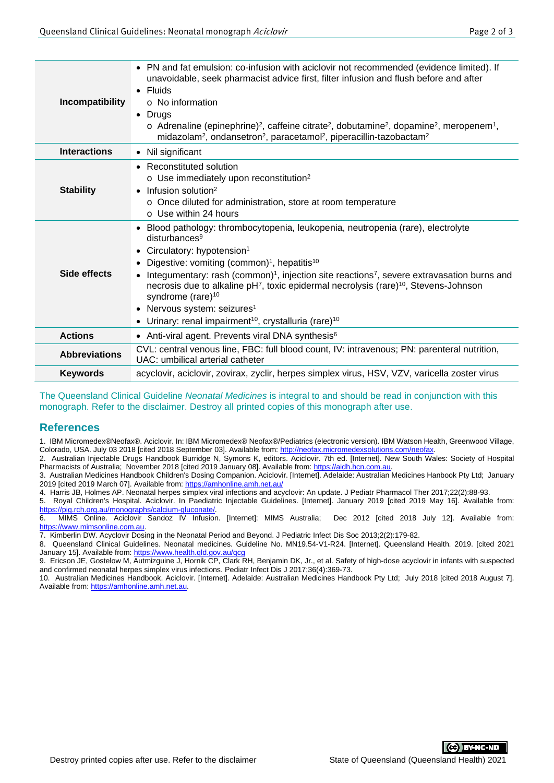| Incompatibility      | • PN and fat emulsion: co-infusion with aciclovir not recommended (evidence limited). If<br>unavoidable, seek pharmacist advice first, filter infusion and flush before and after<br>$\bullet$ Fluids<br>$\circ$ No information<br>• Drugs<br>$\circ$ Adrenaline (epinephrine) <sup>2</sup> , caffeine citrate <sup>2</sup> , dobutamine <sup>2</sup> , dopamine <sup>2</sup> , meropenem <sup>1</sup> ,<br>midazolam <sup>2</sup> , ondansetron <sup>2</sup> , paracetamol <sup>2</sup> , piperacillin-tazobactam <sup>2</sup>                                                                                                           |  |  |  |
|----------------------|-------------------------------------------------------------------------------------------------------------------------------------------------------------------------------------------------------------------------------------------------------------------------------------------------------------------------------------------------------------------------------------------------------------------------------------------------------------------------------------------------------------------------------------------------------------------------------------------------------------------------------------------|--|--|--|
| <b>Interactions</b>  | • Nil significant                                                                                                                                                                                                                                                                                                                                                                                                                                                                                                                                                                                                                         |  |  |  |
| <b>Stability</b>     | Reconstituted solution<br>o Use immediately upon reconstitution <sup>2</sup><br>Infusion solution <sup>2</sup><br>$\bullet$<br>o Once diluted for administration, store at room temperature<br>$\circ$ Use within 24 hours                                                                                                                                                                                                                                                                                                                                                                                                                |  |  |  |
| Side effects         | Blood pathology: thrombocytopenia, leukopenia, neutropenia (rare), electrolyte<br>disturbances <sup>9</sup><br>Circulatory: hypotension <sup>1</sup><br>$\bullet$<br>Digestive: vomiting (common) <sup>1</sup> , hepatitis <sup>10</sup><br>Integumentary: rash (common) <sup>1</sup> , injection site reactions <sup>7</sup> , severe extravasation burns and<br>necrosis due to alkaline pH <sup>7</sup> , toxic epidermal necrolysis (rare) <sup>10</sup> , Stevens-Johnson<br>syndrome (rare) <sup>10</sup><br>• Nervous system: seizures <sup>1</sup><br>Urinary: renal impairment <sup>10</sup> , crystalluria (rare) <sup>10</sup> |  |  |  |
| <b>Actions</b>       | • Anti-viral agent. Prevents viral DNA synthesis <sup>6</sup>                                                                                                                                                                                                                                                                                                                                                                                                                                                                                                                                                                             |  |  |  |
| <b>Abbreviations</b> | CVL: central venous line, FBC: full blood count, IV: intravenous; PN: parenteral nutrition,<br>UAC: umbilical arterial catheter                                                                                                                                                                                                                                                                                                                                                                                                                                                                                                           |  |  |  |
| <b>Keywords</b>      | acyclovir, aciclovir, zovirax, zyclir, herpes simplex virus, HSV, VZV, varicella zoster virus                                                                                                                                                                                                                                                                                                                                                                                                                                                                                                                                             |  |  |  |
|                      |                                                                                                                                                                                                                                                                                                                                                                                                                                                                                                                                                                                                                                           |  |  |  |

The Queensland Clinical Guideline *Neonatal Medicines* is integral to and should be read in conjunction with this monograph. Refer to the disclaimer. Destroy all printed copies of this monograph after use.

## **References**

1. IBM Micromedex®Neofax®. Aciclovir. In: IBM Micromedex® Neofax®/Pediatrics (electronic version). IBM Watson Health, Greenwood Village, Colorado, USA. July 03 2018 [cited 2018 September 03]. Available from: http://neofax.micromedexsolutions.com/neofax

2. Australian Injectable Drugs Handbook Burridge N, Symons K, editors. Aciclovir. 7th ed. [Internet]. New South Wales: Society of Hospital Pharmacists of Australia; November 2018 [cited 2019 January 08]. Available from: <u>https://aidh.hcn.com.au</u>.

3. Australian Medicines Handbook Children's Dosing Companion. Aciclovir. [Internet]. Adelaide: Australian Medicines Hanbook Pty Ltd; January 2019 [cited 2019 March 07]. Available from:<https://amhonline.amh.net.au/>

4. Harris JB, Holmes AP. Neonatal herpes simplex viral infections and acyclovir: An update. J Pediatr Pharmacol Ther 2017;22(2):88-93.

5. Royal Children's Hospital. Aciclovir. In Paediatric Injectable Guidelines. [Internet]. January 2019 [cited 2019 May 16]. Available from: [https://pig.rch.org.au/monographs/calcium-gluconate/.](https://pig.rch.org.au/monographs/calcium-gluconate/)

6. MIMS Online. Aciclovir Sandoz IV Infusion. [Internet]: MIMS Australia; Dec 2012 [cited 2018 July 12]. Available from: [https://www.mimsonline.com.au.](https://www.mimsonline.com.au/)

7. Kimberlin DW. Acyclovir Dosing in the Neonatal Period and Beyond. J Pediatric Infect Dis Soc 2013;2(2):179-82.

8. Queensland Clinical Guidelines. Neonatal medicines. Guideline No. MN19.54-V1-R24. [Internet]. Queensland Health. 2019. [cited 2021 January 15]. Available from: https://www.health.qld.gov.au/qc

9. Ericson JE, Gostelow M, Autmizguine J, Hornik CP, Clark RH, Benjamin DK, Jr., et al. Safety of high-dose acyclovir in infants with suspected and confirmed neonatal herpes simplex virus infections. Pediatr Infect Dis J 2017;36(4):369-73.

10. Australian Medicines Handbook. Aciclovir. [Internet]. Adelaide: Australian Medicines Handbook Pty Ltd; July 2018 [cited 2018 August 7]. Available from[: https://amhonline.amh.net.au.](https://amhonline.amh.net.au/)